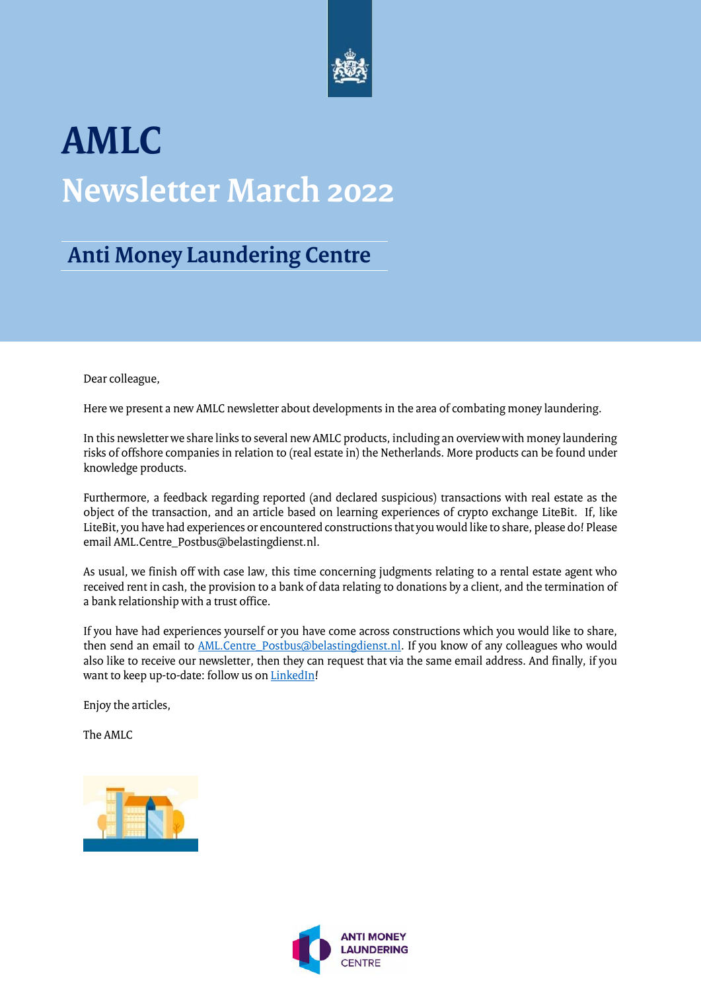

# **AMLC Newsletter March 2022**

### **Anti Money Laundering Centre**

Dear colleague,

Here we present a new AMLC newsletter about developments in the area of combating money laundering.

In this newsletter we share links to several new AMLC products, including an overview with money laundering risks of offshore companies in relation to (real estate in) the Netherlands. More products can be found under knowledge products.

Furthermore, a feedback regarding reported (and declared suspicious) transactions with real estate as the object of the transaction, and an article based on learning experiences of crypto exchange LiteBit. If, like LiteBit, you have had experiences or encountered constructions that you would like to share, please do! Please email AML.Centre\_Postbus@belastingdienst.nl.

As usual, we finish off with case law, this time concerning judgments relating to a rental estate agent who received rent in cash, the provision to a bank of data relating to donations by a client, and the termination of a bank relationship with a trust office.

If you have had experiences yourself or you have come across constructions which you would like to share, then send an email to **AML.Centre\_Postbus@belastingdienst.nl**. If you know of any colleagues who would also like to receive our newsletter, then they can request that via the same email address. And finally, if you want to keep up-to-date: follow us o[n LinkedIn!](https://www.linkedin.com/company/amlc)

Enjoy the articles,

The AMLC



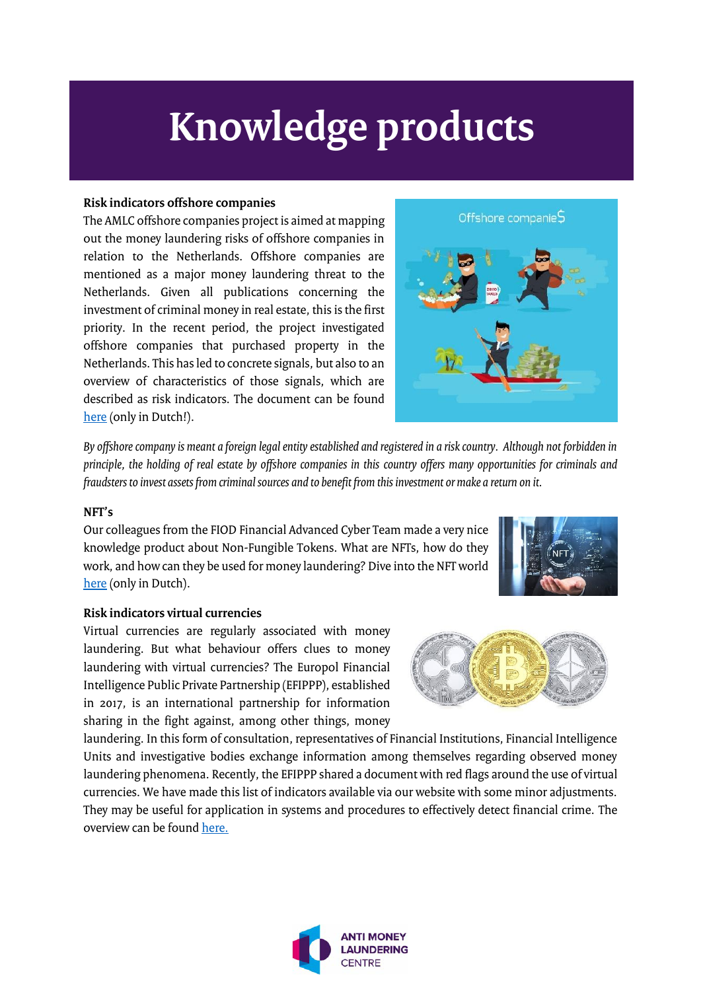# **Knowledge products**

#### **Risk indicators offshore companies**

The AMLC offshore companies project is aimed at mapping out the money laundering risks of offshore companies in relation to the Netherlands. Offshore companies are mentioned as a major money laundering threat to the Netherlands. Given all publications concerning the investment of criminal money in real estate, this is the first priority. In the recent period, the project investigated offshore companies that purchased property in the Netherlands. This has led to concrete signals, but also to an overview of characteristics of those signals, which are described as risk indicators. The document can be found [here](https://www.amlc.nl/wp-content/uploads/2022/02/Risico-indicatoren-product-project-offshore-vennootschappen-Februari-2022.pdf) (only in Dutch!).



*By offshore company is meant a foreign legal entity established and registered in a risk country. Although not forbidden in principle, the holding of real estate by offshore companies in this country offers many opportunities for criminals and fraudsters to invest assets from criminal sources and to benefit from this investment or make a return on it.* 

#### **NFT's**

Our colleagues from the FIOD Financial Advanced Cyber Team made a very nice knowledge product about Non-Fungible Tokens. What are NFTs, how do they work, and how can they be used for money laundering? Dive into the NFT world [here](https://www.amlc.nl/wp-content/uploads/2022/02/Een-duik-in-de-NFT-wereld-DEF-publieke-versie-via-AMLC.pdf) (only in Dutch).



#### **Risk indicators virtual currencies**

Virtual currencies are regularly associated with money laundering. But what behaviour offers clues to money laundering with virtual currencies? The Europol Financial Intelligence Public Private Partnership (EFIPPP), established in 2017, is an international partnership for information sharing in the fight against, among other things, money



laundering. In this form of consultation, representatives of Financial Institutions, Financial Intelligence Units and investigative bodies exchange information among themselves regarding observed money laundering phenomena. Recently, the EFIPPP shared a document with red flags around the use of virtual currencies. We have made this list of indicators available via our website with some minor adjustments. They may be useful for application in systems and procedures to effectively detect financial crime. The overview can be foun[d here.](https://www.amlc.eu/indicators-for-money-laundering-via-cryptocurrency/)

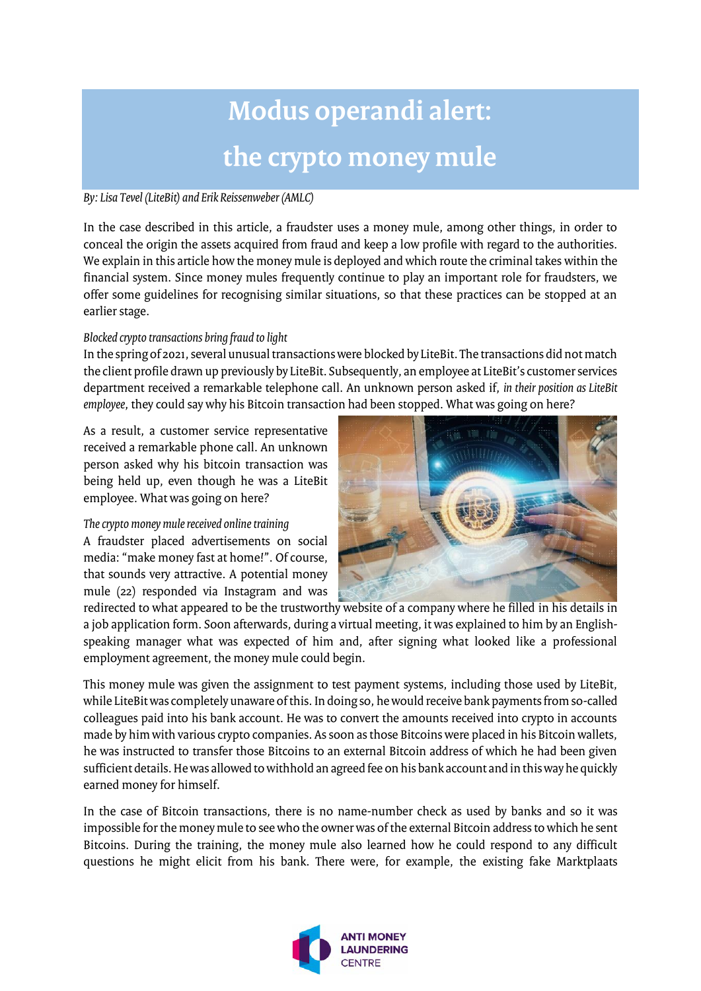## **Modus operandi alert: the crypto money mule**

#### *By: Lisa Tevel (LiteBit) and Erik Reissenweber (AMLC)*

In the case described in this article, a fraudster uses a money mule, among other things, in order to conceal the origin the assets acquired from fraud and keep a low profile with regard to the authorities. We explain in this article how the money mule is deployed and which route the criminal takes within the financial system. Since money mules frequently continue to play an important role for fraudsters, we offer some guidelines for recognising similar situations, so that these practices can be stopped at an earlier stage.

#### *Blocked crypto transactions bring fraud to light*

In the spring of 2021, several unusual transactions were blocked by LiteBit. The transactions did not match the client profile drawn up previously by LiteBit. Subsequently, an employee at LiteBit's customer services department received a remarkable telephone call. An unknown person asked if, *in their position as LiteBit employee*, they could say why his Bitcoin transaction had been stopped. What was going on here?

As a result, a customer service representative received a remarkable phone call. An unknown person asked why his bitcoin transaction was being held up, even though he was a LiteBit employee. What was going on here?

*The crypto money mule received online training* A fraudster placed advertisements on social media: "make money fast at home!". Of course, that sounds very attractive. A potential money mule (22) responded via Instagram and was



redirected to what appeared to be the trustworthy website of a company where he filled in his details in a job application form. Soon afterwards, during a virtual meeting, it was explained to him by an Englishspeaking manager what was expected of him and, after signing what looked like a professional employment agreement, the money mule could begin.

This money mule was given the assignment to test payment systems, including those used by LiteBit, while LiteBit was completely unaware of this. In doing so, he would receive bank payments from so-called colleagues paid into his bank account. He was to convert the amounts received into crypto in accounts made by him with various crypto companies. As soon as those Bitcoins were placed in his Bitcoin wallets, he was instructed to transfer those Bitcoins to an external Bitcoin address of which he had been given sufficient details. He was allowed to withhold an agreed fee on his bank account and in this way he quickly earned money for himself.

In the case of Bitcoin transactions, there is no name-number check as used by banks and so it was impossible for the money mule to see who the owner was of the external Bitcoin address to which he sent Bitcoins. During the training, the money mule also learned how he could respond to any difficult questions he might elicit from his bank. There were, for example, the existing fake Marktplaats

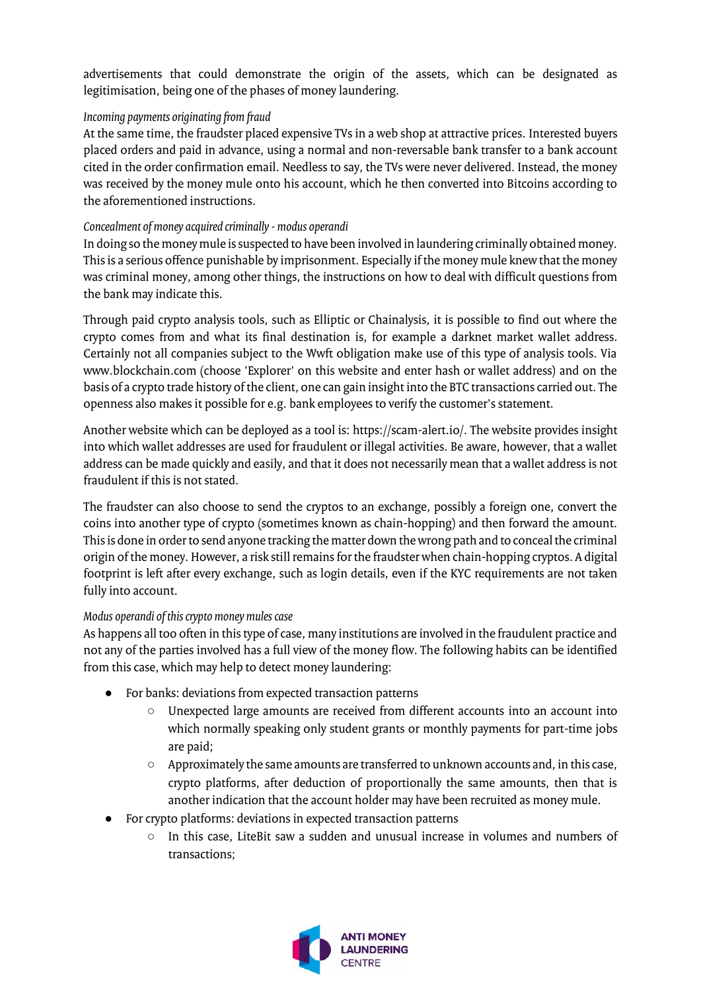advertisements that could demonstrate the origin of the assets, which can be designated as legitimisation, being one of the phases of money laundering.

#### *Incoming payments originating from fraud*

At the same time, the fraudster placed expensive TVs in a web shop at attractive prices. Interested buyers placed orders and paid in advance, using a normal and non-reversable bank transfer to a bank account cited in the order confirmation email. Needless to say, the TVs were never delivered. Instead, the money was received by the money mule onto his account, which he then converted into Bitcoins according to the aforementioned instructions.

#### *Concealment of money acquired criminally -modus operandi*

In doing so the money mule is suspected to have been involved in laundering criminally obtained money. This is a serious offence punishable by imprisonment. Especially if the money mule knew that the money was criminal money, among other things, the instructions on how to deal with difficult questions from the bank may indicate this.

Through paid crypto analysis tools, such as Elliptic or Chainalysis, it is possible to find out where the crypto comes from and what its final destination is, for example a darknet market wallet address. Certainly not all companies subject to the Wwft obligation make use of this type of analysis tools. Via www.blockchain.com (choose 'Explorer' on this website and enter hash or wallet address) and on the basis of a crypto trade history of the client, one can gain insight into the BTC transactions carried out. The openness also makes it possible for e.g. bank employees to verify the customer's statement.

Another website which can be deployed as a tool is: https://scam-alert.io/. The website provides insight into which wallet addresses are used for fraudulent or illegal activities. Be aware, however, that a wallet address can be made quickly and easily, and that it does not necessarily mean that a wallet address is not fraudulent if this is not stated.

The fraudster can also choose to send the cryptos to an exchange, possibly a foreign one, convert the coins into another type of crypto (sometimes known as chain-hopping) and then forward the amount. This is done in order to send anyone tracking the matter down the wrong path and to conceal the criminal origin of the money. However, a risk still remains for the fraudster when chain-hopping cryptos. A digital footprint is left after every exchange, such as login details, even if the KYC requirements are not taken fully into account.

#### *Modus operandi of this crypto money mules case*

As happens all too often in this type of case, many institutions are involved in the fraudulent practice and not any of the parties involved has a full view of the money flow. The following habits can be identified from this case, which may help to detect money laundering:

- For banks: deviations from expected transaction patterns
	- Unexpected large amounts are received from different accounts into an account into which normally speaking only student grants or monthly payments for part-time jobs are paid;
	- Approximately the same amounts are transferred to unknown accounts and, in this case, crypto platforms, after deduction of proportionally the same amounts, then that is another indication that the account holder may have been recruited as money mule.
- For crypto platforms: deviations in expected transaction patterns
	- In this case, LiteBit saw a sudden and unusual increase in volumes and numbers of transactions;

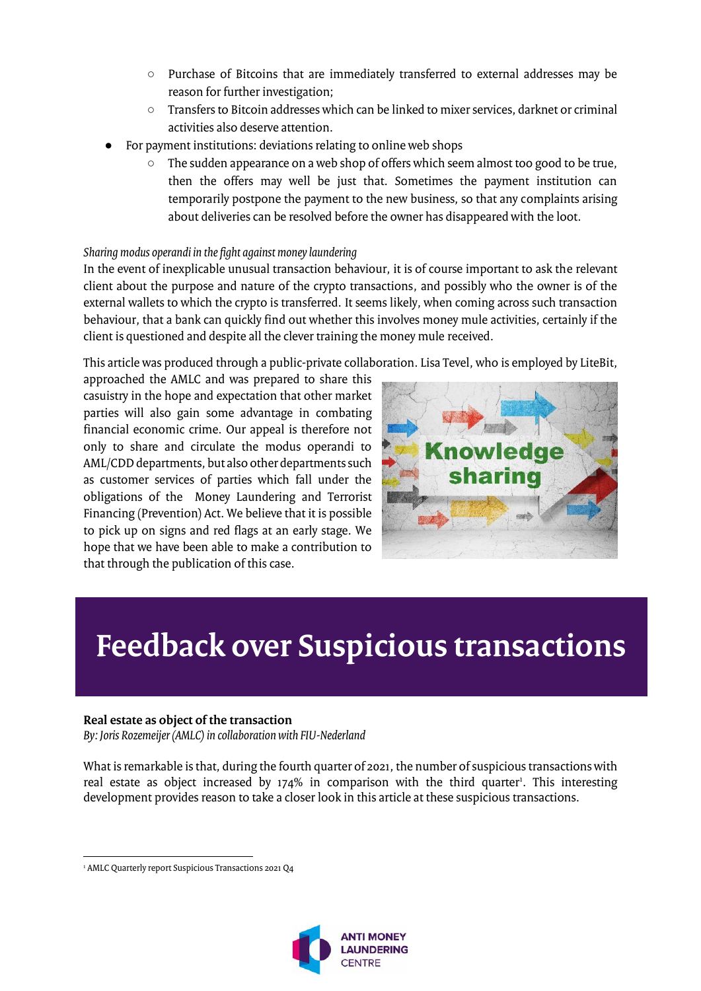- Purchase of Bitcoins that are immediately transferred to external addresses may be reason for further investigation;
- Transfers to Bitcoin addresses which can be linked to mixer services, darknet or criminal activities also deserve attention.
- For payment institutions: deviations relating to online web shops
	- The sudden appearance on a web shop of offers which seem almost too good to be true, then the offers may well be just that. Sometimes the payment institution can temporarily postpone the payment to the new business, so that any complaints arising about deliveries can be resolved before the owner has disappeared with the loot.

#### *Sharing modus operandi in the fight against money laundering*

In the event of inexplicable unusual transaction behaviour, it is of course important to ask the relevant client about the purpose and nature of the crypto transactions, and possibly who the owner is of the external wallets to which the crypto is transferred. It seems likely, when coming across such transaction behaviour, that a bank can quickly find out whether this involves money mule activities, certainly if the client is questioned and despite all the clever training the money mule received.

This article was produced through a public-private collaboration. Lisa Tevel, who is employed by LiteBit,

approached the AMLC and was prepared to share this casuistry in the hope and expectation that other market parties will also gain some advantage in combating financial economic crime. Our appeal is therefore not only to share and circulate the modus operandi to AML/CDD departments, but also other departments such as customer services of parties which fall under the obligations of the Money Laundering and Terrorist Financing (Prevention) Act. We believe that it is possible to pick up on signs and red flags at an early stage. We hope that we have been able to make a contribution to that through the publication of this case.



### **Feedback over Suspicious transactions**

#### **Real estate as object of the transaction**

*By: Joris Rozemeijer (AMLC) in collaboration with FIU-Nederland*

What is remarkable is that, during the fourth quarter of 2021, the number of suspicious transactions with real estate as object increased by 174% in comparison with the third quarter<sup>1</sup>. This interesting development provides reason to take a closer look in this article at these suspicious transactions.

 $\overline{\phantom{a}}$ <sup>1</sup> AMLC Quarterly report Suspicious Transactions 2021 Q4

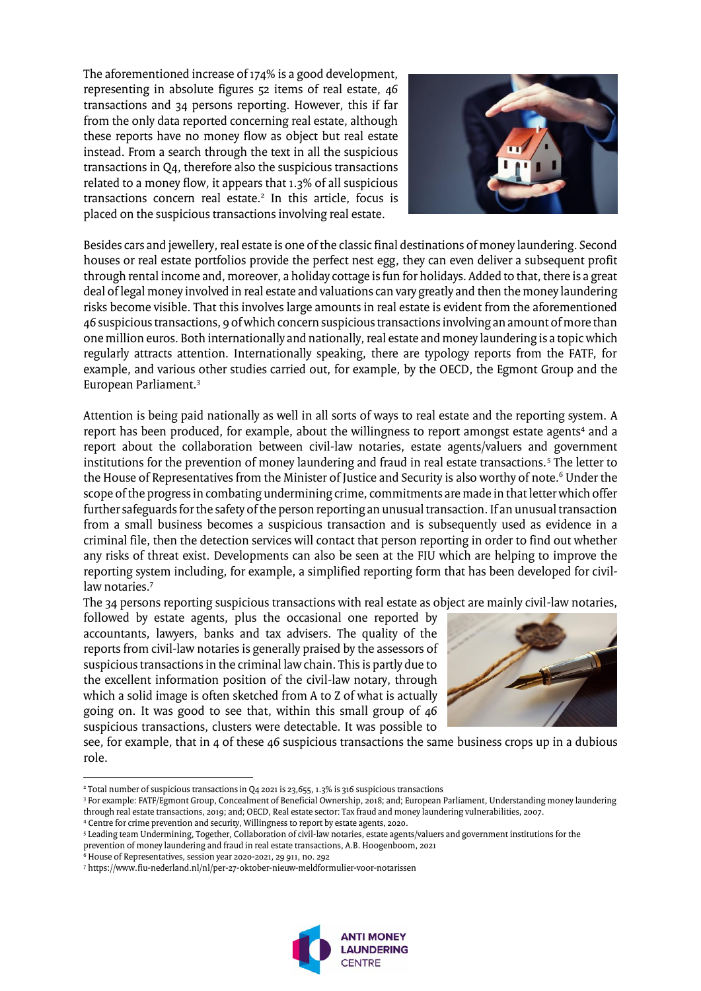The aforementioned increase of 174% is a good development, representing in absolute figures 52 items of real estate, 46 transactions and 34 persons reporting. However, this if far from the only data reported concerning real estate, although these reports have no money flow as object but real estate instead. From a search through the text in all the suspicious transactions in Q4, therefore also the suspicious transactions related to a money flow, it appears that 1.3% of all suspicious transactions concern real estate.<sup>2</sup> In this article, focus is placed on the suspicious transactions involving real estate.



Besides cars and jewellery, real estate is one of the classic final destinations of money laundering. Second houses or real estate portfolios provide the perfect nest egg, they can even deliver a subsequent profit through rental income and, moreover, a holiday cottage is fun for holidays. Added to that, there is a great deal of legal money involved in real estate and valuations can vary greatly and then the money laundering risks become visible. That this involves large amounts in real estate is evident from the aforementioned 46 suspicious transactions, 9 of which concern suspicious transactions involving an amount of more than one million euros. Both internationally and nationally, real estate and money laundering is a topic which regularly attracts attention. Internationally speaking, there are typology reports from the FATF, for example, and various other studies carried out, for example, by the OECD, the Egmont Group and the European Parliament.<sup>3</sup>

Attention is being paid nationally as well in all sorts of ways to real estate and the reporting system. A report has been produced, for example, about the willingness to report amongst estate agents<sup>4</sup> and a report about the collaboration between civil-law notaries, estate agents/valuers and government institutions for the prevention of money laundering and fraud in real estate transactions.<sup>5</sup> The letter to the House of Representatives from the Minister of Justice and Security is also worthy of note.<sup>6</sup> Under the scope of the progress in combating undermining crime, commitments are made in that letter which offer further safeguards for the safety of the person reporting an unusual transaction. If an unusual transaction from a small business becomes a suspicious transaction and is subsequently used as evidence in a criminal file, then the detection services will contact that person reporting in order to find out whether any risks of threat exist. Developments can also be seen at the FIU which are helping to improve the reporting system including, for example, a simplified reporting form that has been developed for civillaw notaries.<sup>7</sup>

The 34 persons reporting suspicious transactions with real estate as object are mainly civil-law notaries,

followed by estate agents, plus the occasional one reported by accountants, lawyers, banks and tax advisers. The quality of the reports from civil-law notaries is generally praised by the assessors of suspicious transactions in the criminal law chain. This is partly due to the excellent information position of the civil-law notary, through which a solid image is often sketched from A to Z of what is actually going on. It was good to see that, within this small group of 46 suspicious transactions, clusters were detectable. It was possible to



see, for example, that in 4 of these 46 suspicious transactions the same business crops up in a dubious role.

 $\overline{\phantom{a}}$ 

<sup>7</sup> https://www.fiu-nederland.nl/nl/per-27-oktober-nieuw-meldformulier-voor-notarissen



<sup>&</sup>lt;sup>2</sup> Total number of suspicious transactions in Q4 2021 is 23,655, 1.3% is 316 suspicious transactions

<sup>3</sup> For example: FATF/Egmont Group, Concealment of Beneficial Ownership, 2018; and; European Parliament, Understanding money laundering through real estate transactions, 2019; and; OECD, Real estate sector: Tax fraud and money laundering vulnerabilities, 2007.

<sup>4</sup> Centre for crime prevention and security, Willingness to report by estate agents, 2020.

<sup>5</sup> Leading team Undermining, Together, Collaboration of civil-law notaries, estate agents/valuers and government institutions for the prevention of money laundering and fraud in real estate transactions, A.B. Hoogenboom, 2021

<sup>6</sup> House of Representatives, session year 2020-2021, 29 911, no. 292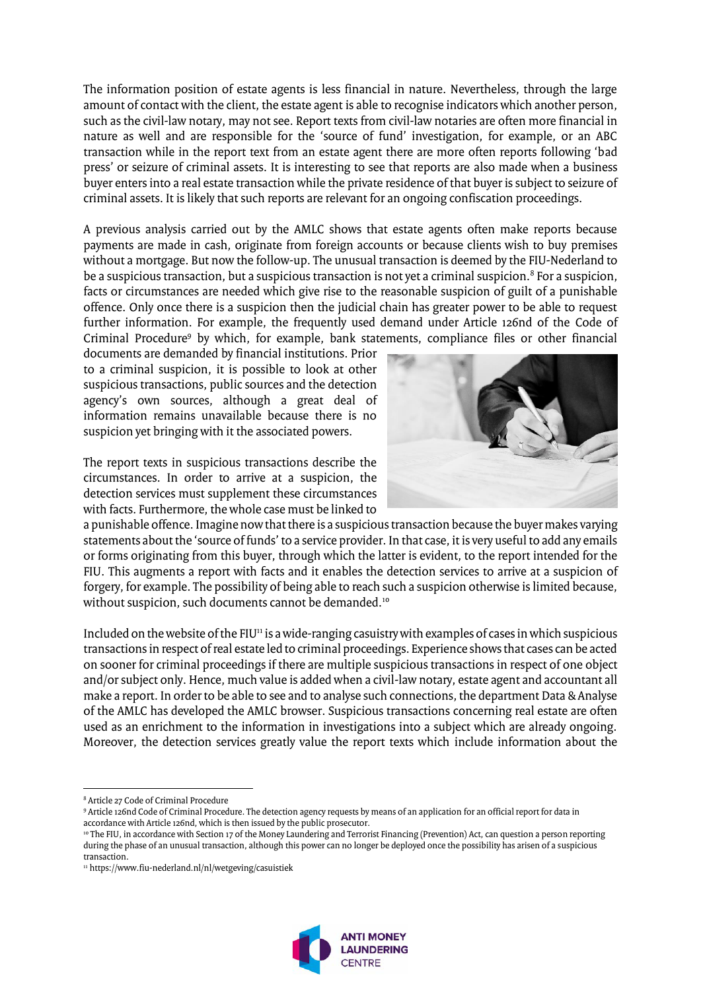The information position of estate agents is less financial in nature. Nevertheless, through the large amount of contact with the client, the estate agent is able to recognise indicators which another person, such as the civil-law notary, may not see. Report texts from civil-law notaries are often more financial in nature as well and are responsible for the 'source of fund' investigation, for example, or an ABC transaction while in the report text from an estate agent there are more often reports following 'bad press' or seizure of criminal assets. It is interesting to see that reports are also made when a business buyer enters into a real estate transaction while the private residence of that buyer is subject to seizure of criminal assets. It is likely that such reports are relevant for an ongoing confiscation proceedings.

A previous analysis carried out by the AMLC shows that estate agents often make reports because payments are made in cash, originate from foreign accounts or because clients wish to buy premises without a mortgage. But now the follow-up. The unusual transaction is deemed by the FIU-Nederland to be a suspicious transaction, but a suspicious transaction is not yet a criminal suspicion. $^8$  For a suspicion, facts or circumstances are needed which give rise to the reasonable suspicion of guilt of a punishable offence. Only once there is a suspicion then the judicial chain has greater power to be able to request further information. For example, the frequently used demand under Article 126nd of the Code of Criminal Procedure<sup>9</sup> by which, for example, bank statements, compliance files or other financial

documents are demanded by financial institutions. Prior to a criminal suspicion, it is possible to look at other suspicious transactions, public sources and the detection agency's own sources, although a great deal of information remains unavailable because there is no suspicion yet bringing with it the associated powers.

The report texts in suspicious transactions describe the circumstances. In order to arrive at a suspicion, the detection services must supplement these circumstances with facts. Furthermore, the whole case must be linked to



a punishable offence. Imagine now that there is a suspicious transaction because the buyer makes varying statements about the 'source of funds' to a service provider. In that case, it is very useful to add any emails or forms originating from this buyer, through which the latter is evident, to the report intended for the FIU. This augments a report with facts and it enables the detection services to arrive at a suspicion of forgery, for example. The possibility of being able to reach such a suspicion otherwise is limited because, without suspicion, such documents cannot be demanded.<sup>10</sup>

Included on the website of the FIU $\mu$  is a wide-ranging casuistry with examples of cases in which suspicious transactions in respect of real estate led to criminal proceedings. Experience shows that cases can be acted on sooner for criminal proceedings if there are multiple suspicious transactions in respect of one object and/or subject only. Hence, much value is added when a civil-law notary, estate agent and accountant all make a report. In order to be able to see and to analyse such connections, the department Data & Analyse of the AMLC has developed the AMLC browser. Suspicious transactions concerning real estate are often used as an enrichment to the information in investigations into a subject which are already ongoing. Moreover, the detection services greatly value the report texts which include information about the

<sup>11</sup> https://www.fiu-nederland.nl/nl/wetgeving/casuistiek



l <sup>8</sup> Article 27 Code of Criminal Procedure

<sup>9</sup> Article 126nd Code of Criminal Procedure. The detection agency requests by means of an application for an official report for data in accordance with Article 126nd, which is then issued by the public prosecutor.

<sup>&</sup>lt;sup>10</sup> The FIU, in accordance with Section 17 of the Money Laundering and Terrorist Financing (Prevention) Act, can question a person reporting during the phase of an unusual transaction, although this power can no longer be deployed once the possibility has arisen of a suspicious transaction.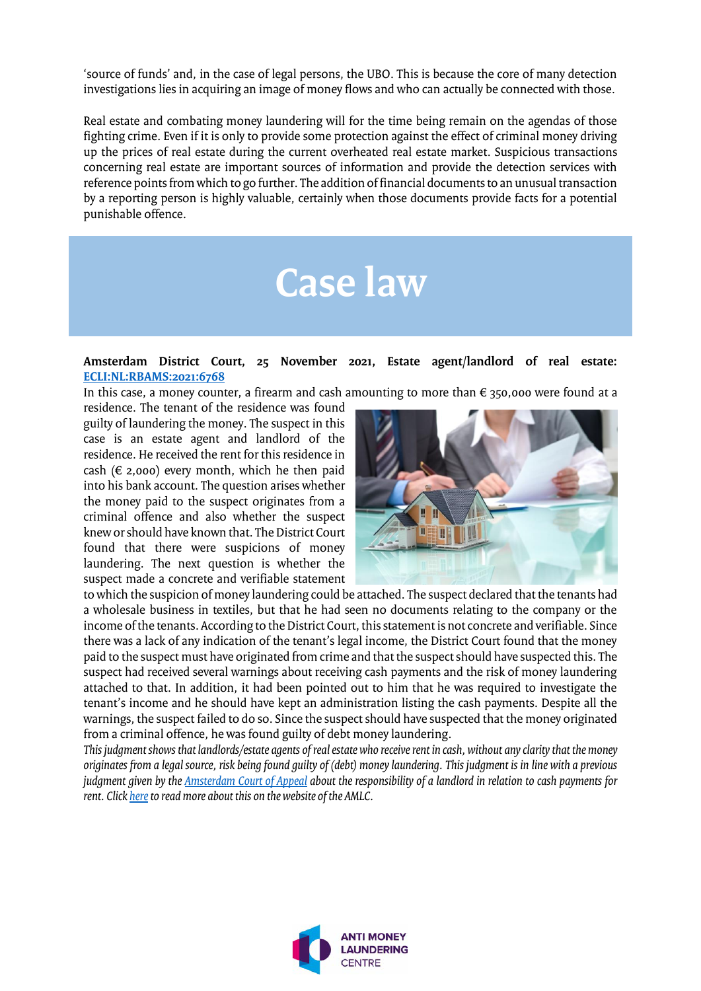'source of funds' and, in the case of legal persons, the UBO. This is because the core of many detection investigations lies in acquiring an image of money flows and who can actually be connected with those.

Real estate and combating money laundering will for the time being remain on the agendas of those fighting crime. Even if it is only to provide some protection against the effect of criminal money driving up the prices of real estate during the current overheated real estate market. Suspicious transactions concerning real estate are important sources of information and provide the detection services with reference points from which to go further. The addition of financial documents to an unusual transaction by a reporting person is highly valuable, certainly when those documents provide facts for a potential punishable offence.

# **Case law**

#### **Amsterdam District Court, 25 November 2021, Estate agent/landlord of real estate: [ECLI:NL:RBAMS:2021:6768](https://uitspraken.rechtspraak.nl/inziendocument?id=ECLI:NL:RBAMS:2021:6768)**

In this case, a money counter, a firearm and cash amounting to more than € 350,000 were found at a

residence. The tenant of the residence was found guilty of laundering the money. The suspect in this case is an estate agent and landlord of the residence. He received the rent for this residence in cash ( $\epsilon$  2,000) every month, which he then paid into his bank account. The question arises whether the money paid to the suspect originates from a criminal offence and also whether the suspect knew or should have known that. The District Court found that there were suspicions of money laundering. The next question is whether the suspect made a concrete and verifiable statement



to which the suspicion of money laundering could be attached. The suspect declared that the tenants had a wholesale business in textiles, but that he had seen no documents relating to the company or the income of the tenants. According to the District Court, this statement is not concrete and verifiable. Since there was a lack of any indication of the tenant's legal income, the District Court found that the money paid to the suspect must have originated from crime and that the suspect should have suspected this. The suspect had received several warnings about receiving cash payments and the risk of money laundering attached to that. In addition, it had been pointed out to him that he was required to investigate the tenant's income and he should have kept an administration listing the cash payments. Despite all the warnings, the suspect failed to do so. Since the suspect should have suspected that the money originated from a criminal offence, he was found guilty of debt money laundering.

*This judgment shows that landlords/estate agents of real estate who receive rent in cash, without any clarity that the money originates from a legal source, risk being found guilty of (debt) money laundering. This judgment is in line with a previous judgment given by the [Amsterdam](https://uitspraken.rechtspraak.nl/inziendocument?id=ECLI:NL:GHAMS:2017:5601) Court of Appeal about the responsibility of a landlord in relation to cash payments for rent. Clic[k here](https://www.amlc.nl/aanpak-spookbewoning/)to read more about this on the website of the AMLC.*

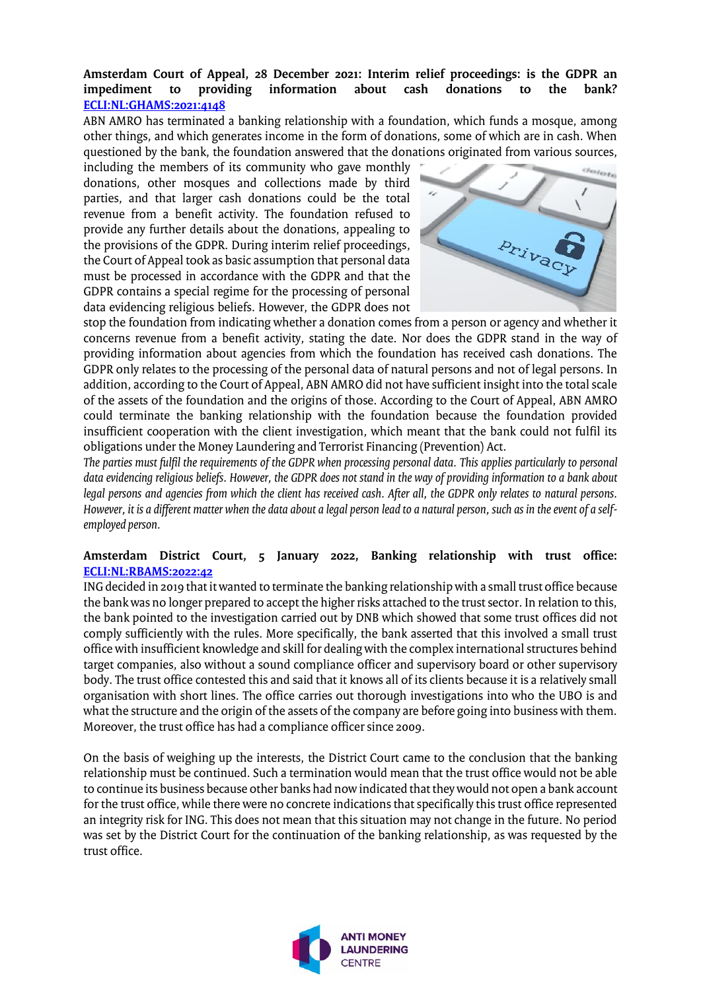#### **Amsterdam Court of Appeal, 28 December 2021: Interim relief proceedings: is the GDPR an impediment** to **[ECLI:NL:GHAMS:2021:4148](https://uitspraken.rechtspraak.nl/inziendocument?id=ECLI:NL:GHAMS:2021:4148&showbutton=true&keyword=witwassen)**

ABN AMRO has terminated a banking relationship with a foundation, which funds a mosque, among other things, and which generates income in the form of donations, some of which are in cash. When questioned by the bank, the foundation answered that the donations originated from various sources,

including the members of its community who gave monthly donations, other mosques and collections made by third parties, and that larger cash donations could be the total revenue from a benefit activity. The foundation refused to provide any further details about the donations, appealing to the provisions of the GDPR. During interim relief proceedings, the Court of Appeal took as basic assumption that personal data must be processed in accordance with the GDPR and that the GDPR contains a special regime for the processing of personal data evidencing religious beliefs. However, the GDPR does not



stop the foundation from indicating whether a donation comes from a person or agency and whether it concerns revenue from a benefit activity, stating the date. Nor does the GDPR stand in the way of providing information about agencies from which the foundation has received cash donations. The GDPR only relates to the processing of the personal data of natural persons and not of legal persons. In addition, according to the Court of Appeal, ABN AMRO did not have sufficient insight into the total scale of the assets of the foundation and the origins of those. According to the Court of Appeal, ABN AMRO could terminate the banking relationship with the foundation because the foundation provided insufficient cooperation with the client investigation, which meant that the bank could not fulfil its obligations under the Money Laundering and Terrorist Financing (Prevention) Act.

*The parties must fulfil the requirements of the GDPR when processing personal data. This applies particularly to personal data evidencing religious beliefs. However, the GDPR does not stand in the way of providing information to a bank about legal persons and agencies from which the client has received cash. After all, the GDPR only relates to natural persons. However, it is a different matter when the data about a legal person lead to a natural person, such as in the event of a selfemployed person.*

#### **Amsterdam District Court, 5 January 2022, Banking relationship with trust office: [ECLI:NL:RBAMS:2022:42](https://uitspraken.rechtspraak.nl/inziendocument?id=ECLI:NL:RBAMS:2022:42&showbutton=true&keyword=witwassen)**

ING decided in 2019 that it wanted to terminate the banking relationship with a small trust office because the bank was no longer prepared to accept the higher risks attached to the trust sector. In relation to this, the bank pointed to the investigation carried out by DNB which showed that some trust offices did not comply sufficiently with the rules. More specifically, the bank asserted that this involved a small trust office with insufficient knowledge and skill for dealing with the complex international structures behind target companies, also without a sound compliance officer and supervisory board or other supervisory body. The trust office contested this and said that it knows all of its clients because it is a relatively small organisation with short lines. The office carries out thorough investigations into who the UBO is and what the structure and the origin of the assets of the company are before going into business with them. Moreover, the trust office has had a compliance officer since 2009.

On the basis of weighing up the interests, the District Court came to the conclusion that the banking relationship must be continued. Such a termination would mean that the trust office would not be able to continue its business because other banks had now indicated that they would not open a bank account for the trust office, while there were no concrete indications that specifically this trust office represented an integrity risk for ING. This does not mean that this situation may not change in the future. No period was set by the District Court for the continuation of the banking relationship, as was requested by the trust office.

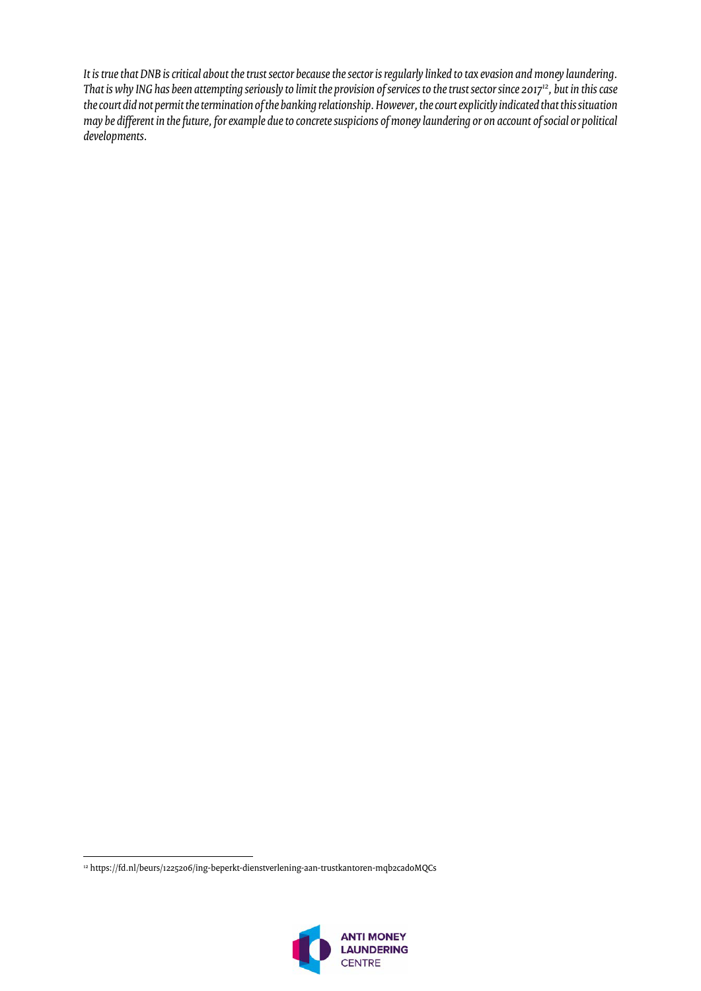*It is true that DNB is critical about the trust sector because the sector is regularly linked to tax evasion and money laundering. That is whyING has been attempting seriously to limit the provision of services to the trust sector since 2017<sup>12</sup>, but in this case the court did not permit the termination of the banking relationship. However, the court explicitly indicated that this situation may be different in the future, for example due to concrete suspicions of money laundering or on account of social or political developments.*

 $\overline{\phantom{a}}$ <sup>12</sup> https://fd.nl/beurs/1225206/ing-beperkt-dienstverlening-aan-trustkantoren-mqb2cad0MQCs